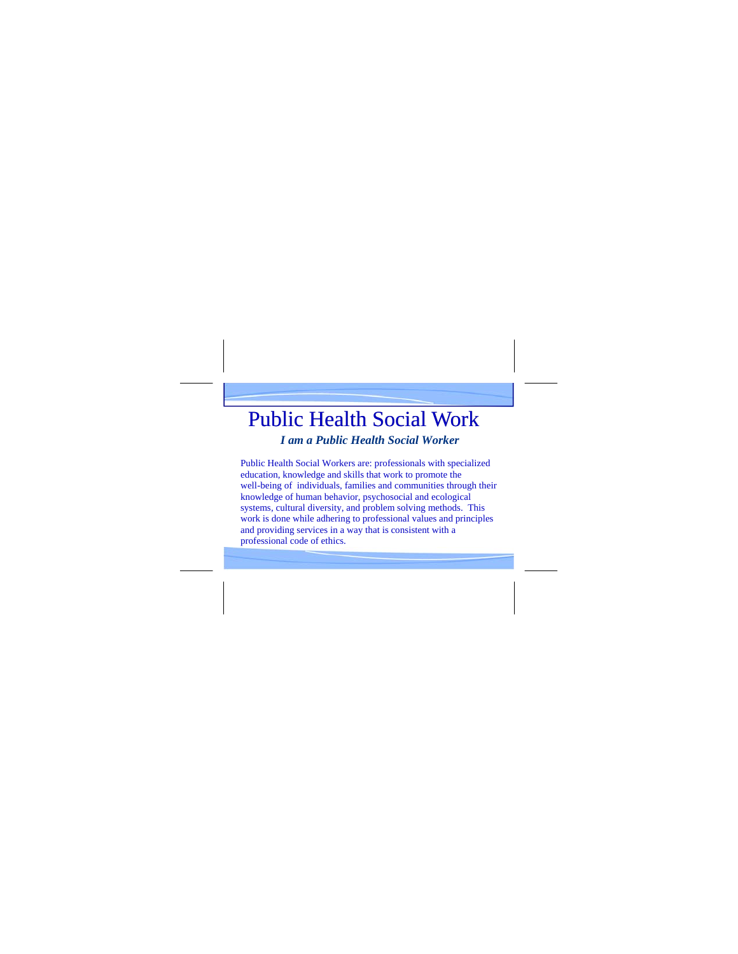## Public Health Social Work

*I am a Public Health Social Worker* 

Public Health Social Workers are: professionals with specialized education, knowledge and skills that work to promote the well-being of individuals, families and communities through their knowledge of human behavior, psychosocial and ecological systems, cultural diversity, and problem solving methods. This work is done while adhering to professional values and principles and providing services in a way that is consistent with a professional code of ethics.